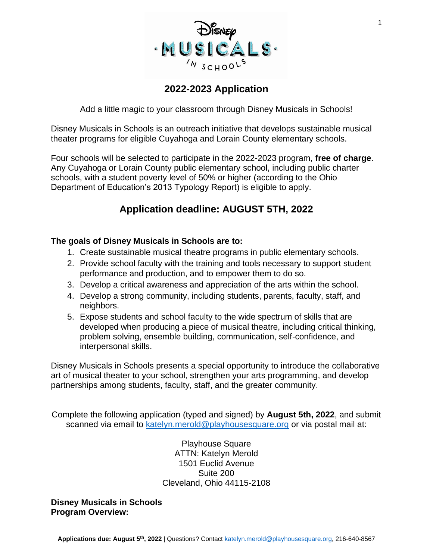

## **2022-2023 Application**

Add a little magic to your classroom through Disney Musicals in Schools!

Disney Musicals in Schools is an outreach initiative that develops sustainable musical theater programs for eligible Cuyahoga and Lorain County elementary schools.

Four schools will be selected to participate in the 2022-2023 program, **free of charge**. Any Cuyahoga or Lorain County public elementary school, including public charter schools, with a student poverty level of 50% or higher (according to the Ohio Department of Education's 2013 Typology Report) is eligible to apply.

# **Application deadline: AUGUST 5TH, 2022**

## **The goals of Disney Musicals in Schools are to:**

- 1. Create sustainable musical theatre programs in public elementary schools.
- 2. Provide school faculty with the training and tools necessary to support student performance and production, and to empower them to do so.
- 3. Develop a critical awareness and appreciation of the arts within the school.
- 4. Develop a strong community, including students, parents, faculty, staff, and neighbors.
- 5. Expose students and school faculty to the wide spectrum of skills that are developed when producing a piece of musical theatre, including critical thinking, problem solving, ensemble building, communication, self-confidence, and interpersonal skills.

Disney Musicals in Schools presents a special opportunity to introduce the collaborative art of musical theater to your school, strengthen your arts programming, and develop partnerships among students, faculty, staff, and the greater community.

Complete the following application (typed and signed) by **August 5th, 2022**, and submit scanned via email to [katelyn.merold@playhousesquare.org](mailto:katelyn.merold@playhousesquare.org) or via postal mail at:

> Playhouse Square ATTN: Katelyn Merold 1501 Euclid Avenue Suite 200 Cleveland, Ohio 44115-2108

**Disney Musicals in Schools Program Overview:**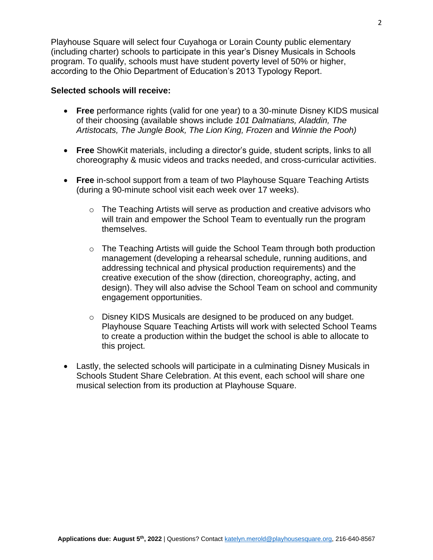Playhouse Square will select four Cuyahoga or Lorain County public elementary (including charter) schools to participate in this year's Disney Musicals in Schools program. To qualify, schools must have student poverty level of 50% or higher, according to the Ohio Department of Education's 2013 Typology Report.

#### **Selected schools will receive:**

- **Free** performance rights (valid for one year) to a 30-minute Disney KIDS musical of their choosing (available shows include *101 Dalmatians, Aladdin, The Artistocats, The Jungle Book, The Lion King, Frozen* and *Winnie the Pooh)*
- **Free** ShowKit materials, including a director's guide, student scripts, links to all choreography & music videos and tracks needed, and cross-curricular activities.
- **Free** in-school support from a team of two Playhouse Square Teaching Artists (during a 90-minute school visit each week over 17 weeks).
	- o The Teaching Artists will serve as production and creative advisors who will train and empower the School Team to eventually run the program themselves.
	- o The Teaching Artists will guide the School Team through both production management (developing a rehearsal schedule, running auditions, and addressing technical and physical production requirements) and the creative execution of the show (direction, choreography, acting, and design). They will also advise the School Team on school and community engagement opportunities.
	- $\circ$  Disney KIDS Musicals are designed to be produced on any budget. Playhouse Square Teaching Artists will work with selected School Teams to create a production within the budget the school is able to allocate to this project.
- Lastly, the selected schools will participate in a culminating Disney Musicals in Schools Student Share Celebration. At this event, each school will share one musical selection from its production at Playhouse Square.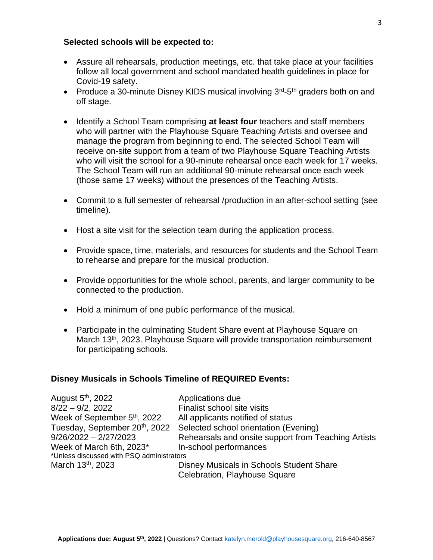#### **Selected schools will be expected to:**

- Assure all rehearsals, production meetings, etc. that take place at your facilities follow all local government and school mandated health guidelines in place for Covid-19 safety.
- Produce a 30-minute Disney KIDS musical involving 3<sup>rd</sup>-5<sup>th</sup> graders both on and off stage.
- Identify a School Team comprising **at least four** teachers and staff members who will partner with the Playhouse Square Teaching Artists and oversee and manage the program from beginning to end. The selected School Team will receive on-site support from a team of two Playhouse Square Teaching Artists who will visit the school for a 90-minute rehearsal once each week for 17 weeks. The School Team will run an additional 90-minute rehearsal once each week (those same 17 weeks) without the presences of the Teaching Artists.
- Commit to a full semester of rehearsal /production in an after-school setting (see timeline).
- Host a site visit for the selection team during the application process.
- Provide space, time, materials, and resources for students and the School Team to rehearse and prepare for the musical production.
- Provide opportunities for the whole school, parents, and larger community to be connected to the production.
- Hold a minimum of one public performance of the musical.
- Participate in the culminating Student Share event at Playhouse Square on March 13<sup>th</sup>, 2023. Playhouse Square will provide transportation reimbursement for participating schools.

### **Disney Musicals in Schools Timeline of REQUIRED Events:**

| August 5 <sup>th</sup> , 2022              | Applications due                                    |
|--------------------------------------------|-----------------------------------------------------|
| $8/22 - 9/2, 2022$                         | Finalist school site visits                         |
| Week of September 5 <sup>th</sup> , 2022   | All applicants notified of status                   |
| Tuesday, September 20 <sup>th</sup> , 2022 | Selected school orientation (Evening)               |
| $9/26/2022 - 2/27/2023$                    | Rehearsals and onsite support from Teaching Artists |
| Week of March 6th, 2023*                   | In-school performances                              |
| *Unless discussed with PSQ administrators  |                                                     |
| March 13 <sup>th</sup> , 2023              | Disney Musicals in Schools Student Share            |
|                                            | Celebration, Playhouse Square                       |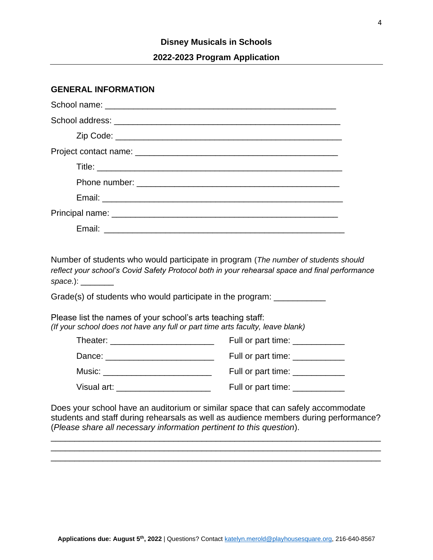#### **Disney Musicals in Schools**

#### **2022-2023 Program Application**

#### **GENERAL INFORMATION**

Number of students who would participate in program (*The number of students should reflect your school's Covid Safety Protocol both in your rehearsal space and final performance space.*): \_\_\_\_\_\_\_

Grade(s) of students who would participate in the program: \_\_\_\_\_\_\_\_\_\_\_\_\_\_\_

Please list the names of your school's arts teaching staff: *(If your school does not have any full or part time arts faculty, leave blank)*

| Theater: _________________ | Full or part time: ___________  |
|----------------------------|---------------------------------|
| Dance:                     | Full or part time: ____________ |
| Music:                     | Full or part time:              |
| Visual art:                | Full or part time:              |

Does your school have an auditorium or similar space that can safely accommodate students and staff during rehearsals as well as audience members during performance? (*Please share all necessary information pertinent to this question*).

\_\_\_\_\_\_\_\_\_\_\_\_\_\_\_\_\_\_\_\_\_\_\_\_\_\_\_\_\_\_\_\_\_\_\_\_\_\_\_\_\_\_\_\_\_\_\_\_\_\_\_\_\_\_\_\_\_\_\_\_\_\_\_\_\_\_\_\_\_\_

\_\_\_\_\_\_\_\_\_\_\_\_\_\_\_\_\_\_\_\_\_\_\_\_\_\_\_\_\_\_\_\_\_\_\_\_\_\_\_\_\_\_\_\_\_\_\_\_\_\_\_\_\_\_\_\_\_\_\_\_\_\_\_\_\_\_\_\_\_\_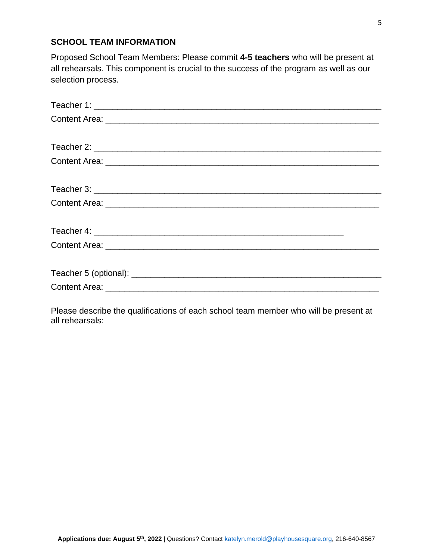#### **SCHOOL TEAM INFORMATION**

Proposed School Team Members: Please commit **4-5 teachers** who will be present at all rehearsals. This component is crucial to the success of the program as well as our selection process.

Please describe the qualifications of each school team member who will be present at all rehearsals: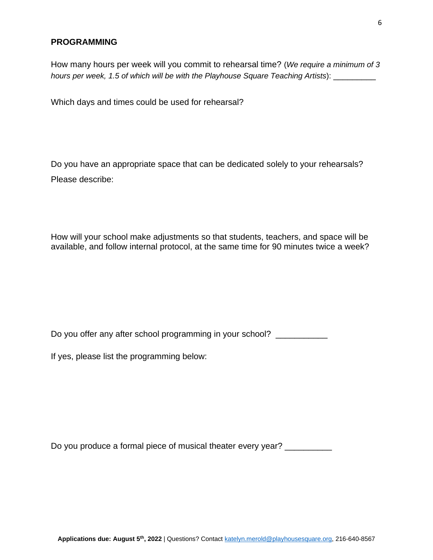#### **PROGRAMMING**

How many hours per week will you commit to rehearsal time? (*We require a minimum of 3 hours per week, 1.5 of which will be with the Playhouse Square Teaching Artists*):

Which days and times could be used for rehearsal?

Do you have an appropriate space that can be dedicated solely to your rehearsals? Please describe:

How will your school make adjustments so that students, teachers, and space will be available, and follow internal protocol, at the same time for 90 minutes twice a week?

Do you offer any after school programming in your school? \_\_\_\_\_\_\_\_\_\_\_

If yes, please list the programming below:

Do you produce a formal piece of musical theater every year? \_\_\_\_\_\_\_\_\_\_\_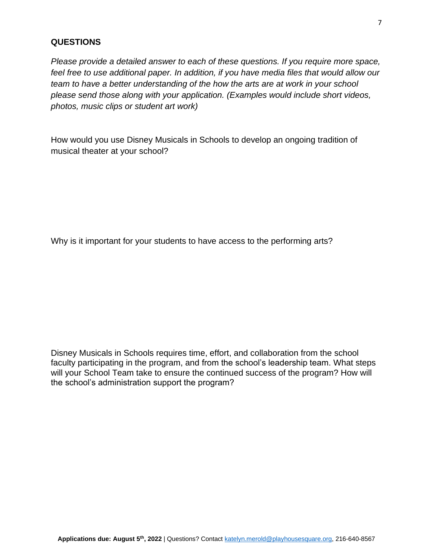#### **QUESTIONS**

*Please provide a detailed answer to each of these questions. If you require more space, feel free to use additional paper. In addition, if you have media files that would allow our team to have a better understanding of the how the arts are at work in your school please send those along with your application. (Examples would include short videos, photos, music clips or student art work)*

How would you use Disney Musicals in Schools to develop an ongoing tradition of musical theater at your school?

Why is it important for your students to have access to the performing arts?

Disney Musicals in Schools requires time, effort, and collaboration from the school faculty participating in the program, and from the school's leadership team. What steps will your School Team take to ensure the continued success of the program? How will the school's administration support the program?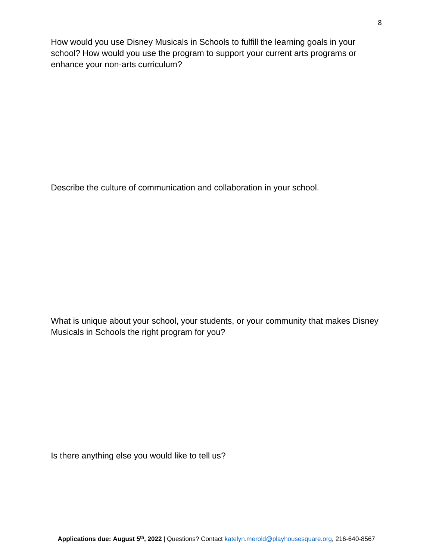How would you use Disney Musicals in Schools to fulfill the learning goals in your school? How would you use the program to support your current arts programs or enhance your non-arts curriculum?

Describe the culture of communication and collaboration in your school.

What is unique about your school, your students, or your community that makes Disney Musicals in Schools the right program for you?

Is there anything else you would like to tell us?